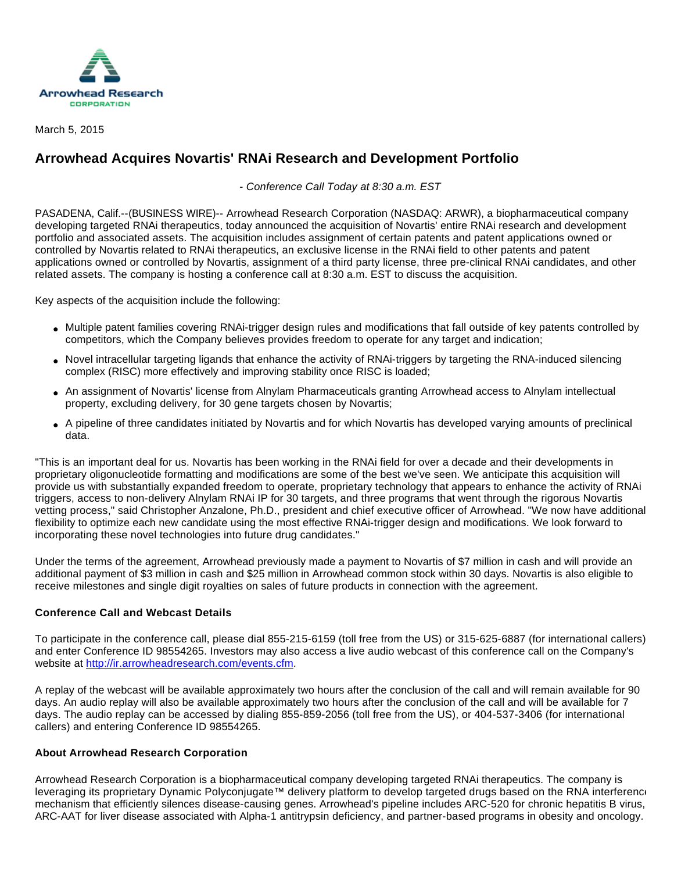

March 5, 2015

## **Arrowhead Acquires Novartis' RNAi Research and Development Portfolio**

- Conference Call Today at 8:30 a.m. EST

PASADENA, Calif.--(BUSINESS WIRE)-- Arrowhead Research Corporation (NASDAQ: ARWR), a biopharmaceutical company developing targeted RNAi therapeutics, today announced the acquisition of Novartis' entire RNAi research and development portfolio and associated assets. The acquisition includes assignment of certain patents and patent applications owned or controlled by Novartis related to RNAi therapeutics, an exclusive license in the RNAi field to other patents and patent applications owned or controlled by Novartis, assignment of a third party license, three pre-clinical RNAi candidates, and other related assets. The company is hosting a conference call at 8:30 a.m. EST to discuss the acquisition.

Key aspects of the acquisition include the following:

- Multiple patent families covering RNAi-trigger design rules and modifications that fall outside of key patents controlled by competitors, which the Company believes provides freedom to operate for any target and indication;
- Novel intracellular targeting ligands that enhance the activity of RNAi-triggers by targeting the RNA-induced silencing complex (RISC) more effectively and improving stability once RISC is loaded;
- An assignment of Novartis' license from Alnylam Pharmaceuticals granting Arrowhead access to Alnylam intellectual property, excluding delivery, for 30 gene targets chosen by Novartis;
- A pipeline of three candidates initiated by Novartis and for which Novartis has developed varying amounts of preclinical data.

"This is an important deal for us. Novartis has been working in the RNAi field for over a decade and their developments in proprietary oligonucleotide formatting and modifications are some of the best we've seen. We anticipate this acquisition will provide us with substantially expanded freedom to operate, proprietary technology that appears to enhance the activity of RNAi triggers, access to non-delivery Alnylam RNAi IP for 30 targets, and three programs that went through the rigorous Novartis vetting process," said Christopher Anzalone, Ph.D., president and chief executive officer of Arrowhead. "We now have additional flexibility to optimize each new candidate using the most effective RNAi-trigger design and modifications. We look forward to incorporating these novel technologies into future drug candidates."

Under the terms of the agreement, Arrowhead previously made a payment to Novartis of \$7 million in cash and will provide an additional payment of \$3 million in cash and \$25 million in Arrowhead common stock within 30 days. Novartis is also eligible to receive milestones and single digit royalties on sales of future products in connection with the agreement.

## **Conference Call and Webcast Details**

To participate in the conference call, please dial 855-215-6159 (toll free from the US) or 315-625-6887 (for international callers) and enter Conference ID 98554265. Investors may also access a live audio webcast of this conference call on the Company's website at [http://ir.arrowheadresearch.com/events.cfm.](http://cts.businesswire.com/ct/CT?id=smartlink&url=http%3A%2F%2Fir.arrowheadresearch.com%2Fevents.cfm&esheet=51052956&newsitemid=20150305005201&lan=en-US&anchor=http%3A%2F%2Fir.arrowheadresearch.com%2Fevents.cfm&index=1&md5=b1352c69f793cc209c76b899ac6774d2)

A replay of the webcast will be available approximately two hours after the conclusion of the call and will remain available for 90 days. An audio replay will also be available approximately two hours after the conclusion of the call and will be available for 7 days. The audio replay can be accessed by dialing 855-859-2056 (toll free from the US), or 404-537-3406 (for international callers) and entering Conference ID 98554265.

## **About Arrowhead Research Corporation**

Arrowhead Research Corporation is a biopharmaceutical company developing targeted RNAi therapeutics. The company is leveraging its proprietary Dynamic Polyconjugate™ delivery platform to develop targeted drugs based on the RNA interference mechanism that efficiently silences disease-causing genes. Arrowhead's pipeline includes ARC-520 for chronic hepatitis B virus, ARC-AAT for liver disease associated with Alpha-1 antitrypsin deficiency, and partner-based programs in obesity and oncology.